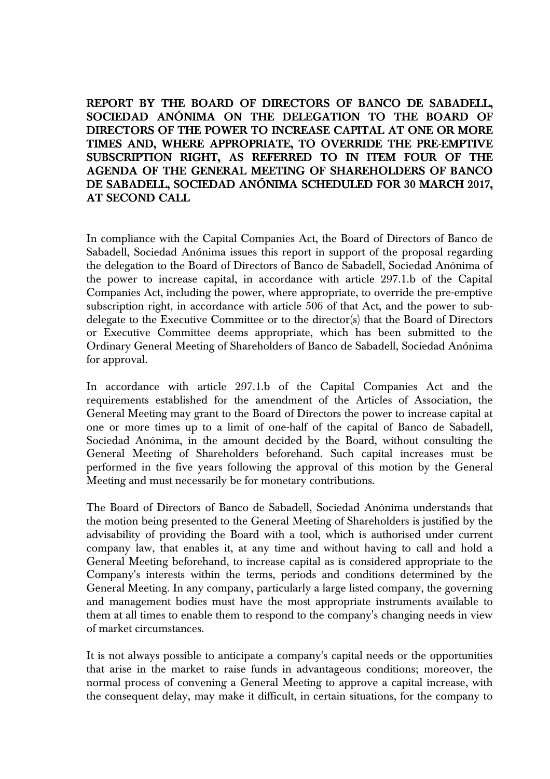**REPORT BY THE BOARD OF DIRECTORS OF BANCO DE SABADELL, SOCIEDAD ANÓNIMA ON THE DELEGATION TO THE BOARD OF DIRECTORS OF THE POWER TO INCREASE CAPITAL AT ONE OR MORE TIMES AND, WHERE APPROPRIATE, TO OVERRIDE THE PRE-EMPTIVE SUBSCRIPTION RIGHT, AS REFERRED TO IN ITEM FOUR OF THE AGENDA OF THE GENERAL MEETING OF SHAREHOLDERS OF BANCO DE SABADELL, SOCIEDAD ANÓNIMA SCHEDULED FOR 30 MARCH 2017, AT SECOND CALL** 

In compliance with the Capital Companies Act, the Board of Directors of Banco de Sabadell, Sociedad Anónima issues this report in support of the proposal regarding the delegation to the Board of Directors of Banco de Sabadell, Sociedad Anónima of the power to increase capital, in accordance with article 297.1.b of the Capital Companies Act, including the power, where appropriate, to override the pre-emptive subscription right, in accordance with article 506 of that Act, and the power to subdelegate to the Executive Committee or to the director(s) that the Board of Directors or Executive Committee deems appropriate, which has been submitted to the Ordinary General Meeting of Shareholders of Banco de Sabadell, Sociedad Anónima for approval.

In accordance with article 297.1.b of the Capital Companies Act and the requirements established for the amendment of the Articles of Association, the General Meeting may grant to the Board of Directors the power to increase capital at one or more times up to a limit of one-half of the capital of Banco de Sabadell, Sociedad Anónima, in the amount decided by the Board, without consulting the General Meeting of Shareholders beforehand. Such capital increases must be performed in the five years following the approval of this motion by the General Meeting and must necessarily be for monetary contributions.

The Board of Directors of Banco de Sabadell, Sociedad Anónima understands that the motion being presented to the General Meeting of Shareholders is justified by the advisability of providing the Board with a tool, which is authorised under current company law, that enables it, at any time and without having to call and hold a General Meeting beforehand, to increase capital as is considered appropriate to the Company's interests within the terms, periods and conditions determined by the General Meeting. In any company, particularly a large listed company, the governing and management bodies must have the most appropriate instruments available to them at all times to enable them to respond to the company's changing needs in view of market circumstances.

It is not always possible to anticipate a company's capital needs or the opportunities that arise in the market to raise funds in advantageous conditions; moreover, the normal process of convening a General Meeting to approve a capital increase, with the consequent delay, may make it difficult, in certain situations, for the company to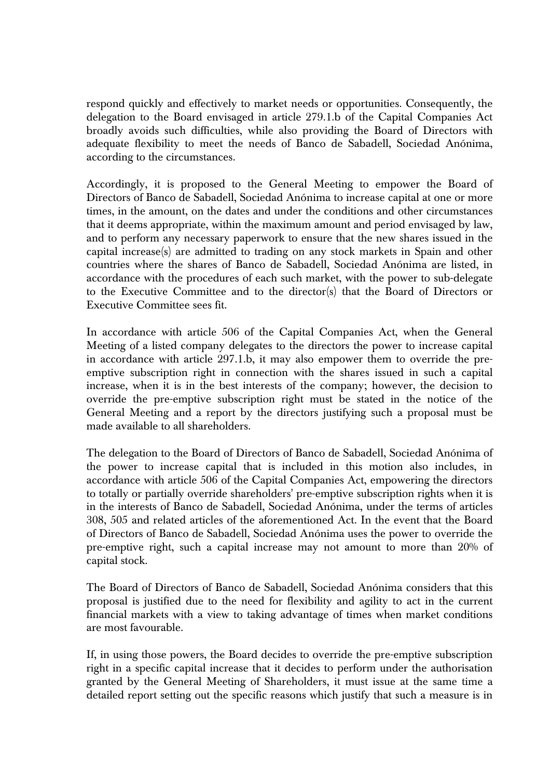respond quickly and effectively to market needs or opportunities. Consequently, the delegation to the Board envisaged in article 279.1.b of the Capital Companies Act broadly avoids such difficulties, while also providing the Board of Directors with adequate flexibility to meet the needs of Banco de Sabadell, Sociedad Anónima, according to the circumstances.

Accordingly, it is proposed to the General Meeting to empower the Board of Directors of Banco de Sabadell, Sociedad Anónima to increase capital at one or more times, in the amount, on the dates and under the conditions and other circumstances that it deems appropriate, within the maximum amount and period envisaged by law, and to perform any necessary paperwork to ensure that the new shares issued in the capital increase(s) are admitted to trading on any stock markets in Spain and other countries where the shares of Banco de Sabadell, Sociedad Anónima are listed, in accordance with the procedures of each such market, with the power to sub-delegate to the Executive Committee and to the director(s) that the Board of Directors or Executive Committee sees fit.

In accordance with article 506 of the Capital Companies Act, when the General Meeting of a listed company delegates to the directors the power to increase capital in accordance with article 297.1.b, it may also empower them to override the preemptive subscription right in connection with the shares issued in such a capital increase, when it is in the best interests of the company; however, the decision to override the pre-emptive subscription right must be stated in the notice of the General Meeting and a report by the directors justifying such a proposal must be made available to all shareholders.

The delegation to the Board of Directors of Banco de Sabadell, Sociedad Anónima of the power to increase capital that is included in this motion also includes, in accordance with article 506 of the Capital Companies Act, empowering the directors to totally or partially override shareholders' pre-emptive subscription rights when it is in the interests of Banco de Sabadell, Sociedad Anónima, under the terms of articles 308, 505 and related articles of the aforementioned Act. In the event that the Board of Directors of Banco de Sabadell, Sociedad Anónima uses the power to override the pre-emptive right, such a capital increase may not amount to more than 20% of capital stock.

The Board of Directors of Banco de Sabadell, Sociedad Anónima considers that this proposal is justified due to the need for flexibility and agility to act in the current financial markets with a view to taking advantage of times when market conditions are most favourable.

If, in using those powers, the Board decides to override the pre-emptive subscription right in a specific capital increase that it decides to perform under the authorisation granted by the General Meeting of Shareholders, it must issue at the same time a detailed report setting out the specific reasons which justify that such a measure is in